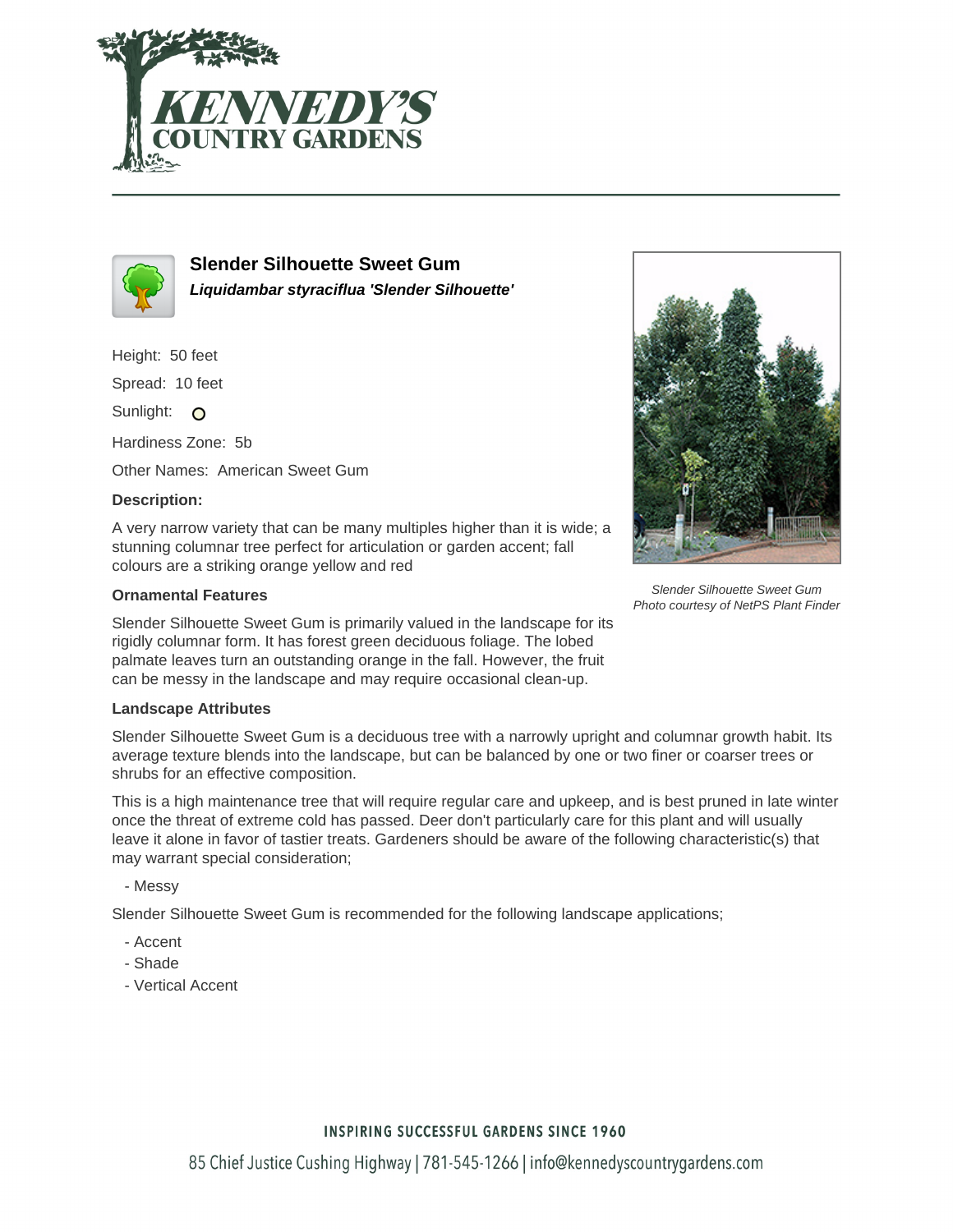



**Slender Silhouette Sweet Gum Liquidambar styraciflua 'Slender Silhouette'**

Height: 50 feet

Spread: 10 feet

Sunlight: O

Hardiness Zone: 5b

Other Names: American Sweet Gum

### **Description:**

A very narrow variety that can be many multiples higher than it is wide; a stunning columnar tree perfect for articulation or garden accent; fall colours are a striking orange yellow and red

### **Ornamental Features**

Slender Silhouette Sweet Gum is primarily valued in the landscape for its rigidly columnar form. It has forest green deciduous foliage. The lobed palmate leaves turn an outstanding orange in the fall. However, the fruit can be messy in the landscape and may require occasional clean-up.

### **Landscape Attributes**

Slender Silhouette Sweet Gum is a deciduous tree with a narrowly upright and columnar growth habit. Its average texture blends into the landscape, but can be balanced by one or two finer or coarser trees or shrubs for an effective composition.

This is a high maintenance tree that will require regular care and upkeep, and is best pruned in late winter once the threat of extreme cold has passed. Deer don't particularly care for this plant and will usually leave it alone in favor of tastier treats. Gardeners should be aware of the following characteristic(s) that may warrant special consideration;

- Messy

Slender Silhouette Sweet Gum is recommended for the following landscape applications;

- Accent
- Shade
- Vertical Accent



Slender Silhouette Sweet Gum Photo courtesy of NetPS Plant Finder

## **INSPIRING SUCCESSFUL GARDENS SINCE 1960**

85 Chief Justice Cushing Highway | 781-545-1266 | info@kennedyscountrygardens.com